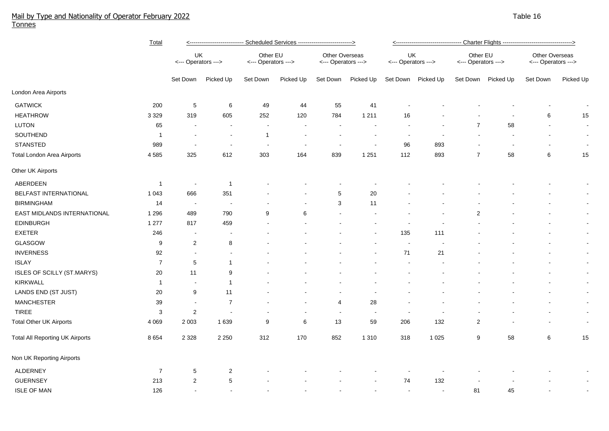## Mail by Type and Nationality of Operator February 2022 Table 16 and the state of the state of the state of the state 16 and the state 16 and the state 16 and the state 16 and the 16 and the state 16 and the state 16 and th Tonnes

|                                        | Total          | <--------------------------- Scheduled Services --------------------------> |                          |                                 |           |                                       |                | <---------------------------------- Charter Flights -----------------------------------> |           |                                 |           |                                       |                |  |
|----------------------------------------|----------------|-----------------------------------------------------------------------------|--------------------------|---------------------------------|-----------|---------------------------------------|----------------|------------------------------------------------------------------------------------------|-----------|---------------------------------|-----------|---------------------------------------|----------------|--|
|                                        |                | UK<br><--- Operators --->                                                   |                          | Other EU<br><--- Operators ---> |           | Other Overseas<br><--- Operators ---> |                | UK<br><--- Operators --->                                                                |           | Other EU<br><--- Operators ---> |           | Other Overseas<br><--- Operators ---> |                |  |
|                                        |                | Set Down                                                                    | Picked Up                | Set Down                        | Picked Up | Set Down                              | Picked Up      | Set Down                                                                                 | Picked Up | Set Down                        | Picked Up | Set Down                              | Picked Up      |  |
| London Area Airports                   |                |                                                                             |                          |                                 |           |                                       |                |                                                                                          |           |                                 |           |                                       |                |  |
| <b>GATWICK</b>                         | 200            | 5                                                                           | $\,6\,$                  | 49                              | 44        | 55                                    | 41             |                                                                                          |           |                                 |           |                                       |                |  |
| <b>HEATHROW</b>                        | 3 3 2 9        | 319                                                                         | 605                      | 252                             | 120       | 784                                   | 1 2 1 1        | 16                                                                                       |           |                                 |           | 6                                     | 15             |  |
| LUTON                                  | 65             |                                                                             |                          |                                 |           | $\overline{\phantom{a}}$              |                |                                                                                          |           | $\overline{7}$                  | 58        |                                       | $\sim$         |  |
| SOUTHEND                               | -1             |                                                                             | $\ddot{\phantom{0}}$     | $\mathbf{1}$                    |           | $\overline{\phantom{a}}$              |                | $\blacksquare$                                                                           |           |                                 |           | $\overline{\phantom{a}}$              | $\sim$         |  |
| <b>STANSTED</b>                        | 989            |                                                                             | $\blacksquare$           |                                 |           | $\overline{\phantom{a}}$              |                | 96                                                                                       | 893       |                                 |           | $\blacksquare$                        | $\sim$         |  |
| <b>Total London Area Airports</b>      | 4585           | 325                                                                         | 612                      | 303                             | 164       | 839                                   | 1 2 5 1        | 112                                                                                      | 893       | $\overline{7}$                  | 58        | 6                                     | 15             |  |
| Other UK Airports                      |                |                                                                             |                          |                                 |           |                                       |                |                                                                                          |           |                                 |           |                                       |                |  |
| ABERDEEN                               | $\overline{1}$ | $\sim$                                                                      | $\overline{1}$           |                                 |           |                                       |                |                                                                                          |           |                                 |           |                                       | $\blacksquare$ |  |
| BELFAST INTERNATIONAL                  | 1 0 4 3        | 666                                                                         | 351                      |                                 |           | 5                                     | 20             |                                                                                          |           |                                 |           |                                       | $\sim$         |  |
| <b>BIRMINGHAM</b>                      | 14             | $\sim$                                                                      | $\overline{\phantom{a}}$ |                                 |           | 3                                     | 11             |                                                                                          |           |                                 |           |                                       | $\sim$         |  |
| EAST MIDLANDS INTERNATIONAL            | 1 2 9 6        | 489                                                                         | 790                      | 9                               | 6         | $\sim$                                |                |                                                                                          |           | $\overline{2}$                  |           |                                       | $\sim$         |  |
| EDINBURGH                              | 1 277          | 817                                                                         | 459                      |                                 |           |                                       |                |                                                                                          |           |                                 |           |                                       | $\sim$         |  |
| <b>EXETER</b>                          | 246            | $\overline{\phantom{a}}$                                                    |                          |                                 |           |                                       |                | 135                                                                                      | 111       |                                 |           |                                       | $\sim$         |  |
| GLASGOW                                | 9              | $\overline{c}$                                                              | 8                        |                                 |           |                                       |                | $\sim$                                                                                   |           |                                 |           |                                       | $\sim$         |  |
| <b>INVERNESS</b>                       | 92             |                                                                             |                          |                                 |           |                                       |                | 71                                                                                       | 21        |                                 |           |                                       | $\sim$         |  |
| <b>ISLAY</b>                           | $\overline{7}$ | 5                                                                           | $\mathbf{1}$             |                                 |           |                                       |                |                                                                                          |           |                                 |           |                                       | $\sim$         |  |
| ISLES OF SCILLY (ST.MARYS)             | 20             | 11                                                                          | 9                        |                                 |           |                                       |                |                                                                                          |           |                                 |           |                                       | $\blacksquare$ |  |
| <b>KIRKWALL</b>                        | $\mathbf{1}$   | $\overline{\phantom{a}}$                                                    | $\mathbf{1}$             |                                 |           |                                       |                |                                                                                          |           |                                 |           |                                       | $\sim$         |  |
| LANDS END (ST JUST)                    | 20             | 9                                                                           | 11                       |                                 |           |                                       |                |                                                                                          |           |                                 |           |                                       | $\sim$         |  |
| <b>MANCHESTER</b>                      | 39             | $\sim$                                                                      | $\overline{7}$           |                                 |           | 4                                     | 28             |                                                                                          |           |                                 |           |                                       | $\sim$         |  |
| <b>TIREE</b>                           | $\mathbf{3}$   | $\overline{c}$                                                              |                          |                                 |           | $\overline{\phantom{a}}$              | $\blacksquare$ |                                                                                          |           |                                 |           |                                       | $\sim$         |  |
| <b>Total Other UK Airports</b>         | 4 0 6 9        | 2 0 0 3                                                                     | 1639                     | 9                               | 6         | 13                                    | 59             | 206                                                                                      | 132       | $\overline{c}$                  |           |                                       | $\sim$         |  |
| <b>Total All Reporting UK Airports</b> | 8654           | 2 3 2 8                                                                     | 2 2 5 0                  | 312                             | 170       | 852                                   | 1 3 1 0        | 318                                                                                      | 1 0 2 5   | 9                               | 58        | 6                                     | 15             |  |
| Non UK Reporting Airports              |                |                                                                             |                          |                                 |           |                                       |                |                                                                                          |           |                                 |           |                                       |                |  |
| ALDERNEY                               | $\overline{7}$ | 5                                                                           | $\overline{2}$           |                                 |           |                                       |                |                                                                                          |           |                                 |           |                                       |                |  |
| <b>GUERNSEY</b>                        | 213            | $\overline{2}$                                                              | $\,$ 5 $\,$              |                                 |           |                                       |                | 74                                                                                       | 132       |                                 |           |                                       |                |  |
| <b>ISLE OF MAN</b>                     | 126            |                                                                             |                          |                                 |           |                                       |                |                                                                                          |           | 81                              | 45        |                                       |                |  |